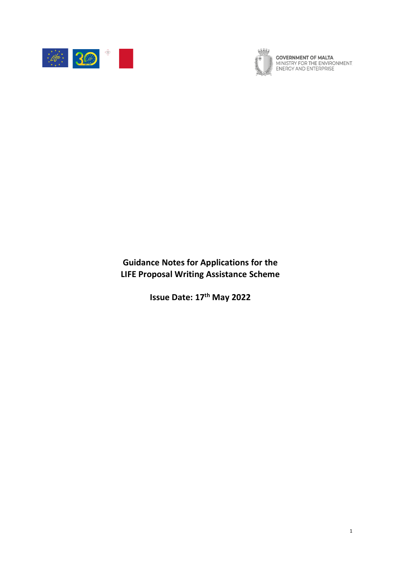



**GOVERNMENT OF MALTA**<br>MINISTRY FOR THE ENVIRONMENT,<br>ENERGY AND ENTERPRISE

**Guidance Notes for Applications for the LIFE Proposal Writing Assistance Scheme**

**Issue Date: 17 th May 2022**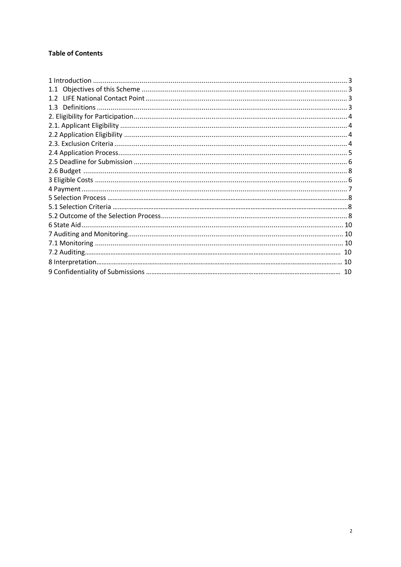# **Table of Contents**

| 1.1 |  |
|-----|--|
|     |  |
| 1.3 |  |
|     |  |
|     |  |
|     |  |
|     |  |
|     |  |
|     |  |
|     |  |
|     |  |
|     |  |
|     |  |
|     |  |
|     |  |
|     |  |
|     |  |
|     |  |
|     |  |
|     |  |
|     |  |
|     |  |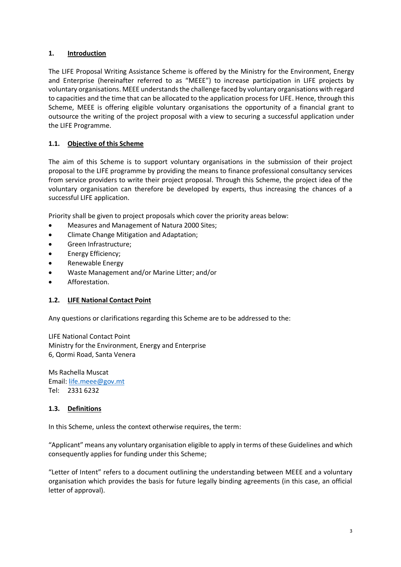## <span id="page-2-0"></span>**1. Introduction**

The LIFE Proposal Writing Assistance Scheme is offered by the Ministry for the Environment, Energy and Enterprise (hereinafter referred to as "MEEE") to increase participation in LIFE projects by voluntary organisations. MEEE understands the challenge faced by voluntary organisations with regard to capacities and the time that can be allocated to the application process for LIFE. Hence, through this Scheme, MEEE is offering eligible voluntary organisations the opportunity of a financial grant to outsource the writing of the project proposal with a view to securing a successful application under the LIFE Programme.

## **1.1. Objective of this Scheme**

The aim of this Scheme is to support voluntary organisations in the submission of their project proposal to the LIFE programme by providing the means to finance professional consultancy services from service providers to write their project proposal. Through this Scheme, the project idea of the voluntary organisation can therefore be developed by experts, thus increasing the chances of a successful LIFE application.

Priority shall be given to project proposals which cover the priority areas below:

- Measures and Management of Natura 2000 Sites;
- Climate Change Mitigation and Adaptation;
- Green Infrastructure;
- Energy Efficiency;
- Renewable Energy
- Waste Management and/or Marine Litter; and/or
- Afforestation.

## **1.2. LIFE National Contact Point**

Any questions or clarifications regarding this Scheme are to be addressed to the:

LIFE National Contact Point Ministry for the Environment, Energy and Enterprise 6, Qormi Road, Santa Venera

Ms Rachella Muscat Email: [life.meee@gov.mt](mailto:life.meee@gov.mt) Tel: 2331 6232

## **1.3. Definitions**

In this Scheme, unless the context otherwise requires, the term:

"Applicant" means any voluntary organisation eligible to apply in terms of these Guidelines and which consequently applies for funding under this Scheme;

"Letter of Intent" refers to a document outlining the understanding between MEEE and a voluntary organisation which provides the basis for future legally binding agreements (in this case, an official letter of approval).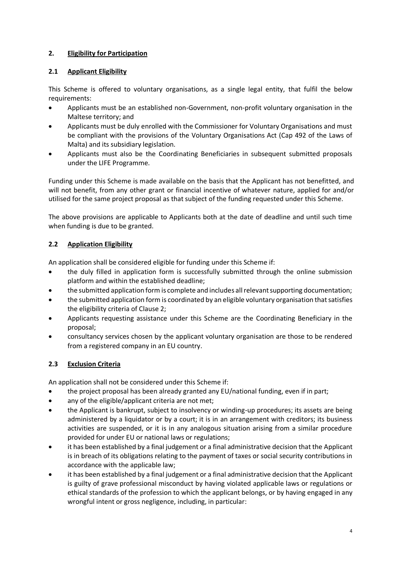## **2. Eligibility for Participation**

## **2.1 Applicant Eligibility**

This Scheme is offered to voluntary organisations, as a single legal entity, that fulfil the below requirements:

- Applicants must be an established non-Government, non-profit voluntary organisation in the Maltese territory; and
- Applicants must be duly enrolled with the Commissioner for Voluntary Organisations and must be compliant with the provisions of the Voluntary Organisations Act (Cap 492 of the Laws of Malta) and its subsidiary legislation.
- Applicants must also be the Coordinating Beneficiaries in subsequent submitted proposals under the LIFE Programme.

Funding under this Scheme is made available on the basis that the Applicant has not benefitted, and will not benefit, from any other grant or financial incentive of whatever nature, applied for and/or utilised for the same project proposal as that subject of the funding requested under this Scheme.

The above provisions are applicable to Applicants both at the date of deadline and until such time when funding is due to be granted.

## **2.2 Application Eligibility**

An application shall be considered eligible for funding under this Scheme if:

- the duly filled in application form is successfully submitted through the online submission platform and within the established deadline;
- the submitted application form is complete and includes all relevant supporting documentation;
- the submitted application form is coordinated by an eligible voluntary organisation that satisfies the eligibility criteria of Clause 2;
- Applicants requesting assistance under this Scheme are the Coordinating Beneficiary in the proposal;
- consultancy services chosen by the applicant voluntary organisation are those to be rendered from a registered company in an EU country.

## <span id="page-3-0"></span>**2.3 Exclusion Criteria**

An application shall not be considered under this Scheme if:

- the project proposal has been already granted any EU/national funding, even if in part;
- any of the eligible/applicant criteria are not met;
- the Applicant is bankrupt, subject to insolvency or winding-up procedures; its assets are being administered by a liquidator or by a court; it is in an arrangement with creditors; its business activities are suspended, or it is in any analogous situation arising from a similar procedure provided for under EU or national laws or regulations;
- it has been established by a final judgement or a final administrative decision that the Applicant is in breach of its obligations relating to the payment of taxes or social security contributions in accordance with the applicable law;
- it has been established by a final judgement or a final administrative decision that the Applicant is guilty of grave professional misconduct by having violated applicable laws or regulations or ethical standards of the profession to which the applicant belongs, or by having engaged in any wrongful intent or gross negligence, including, in particular: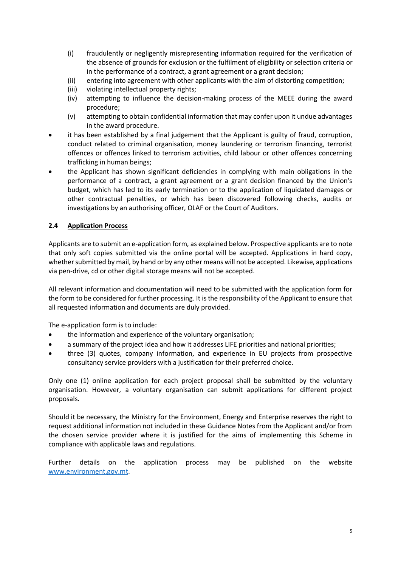- (i) fraudulently or negligently misrepresenting information required for the verification of the absence of grounds for exclusion or the fulfilment of eligibility or selection criteria or in the performance of a contract, a grant agreement or a grant decision;
- (ii) entering into agreement with other applicants with the aim of distorting competition;
- (iii) violating intellectual property rights;
- (iv) attempting to influence the decision-making process of the MEEE during the award procedure;
- (v) attempting to obtain confidential information that may confer upon it undue advantages in the award procedure.
- it has been established by a final judgement that the Applicant is guilty of fraud, corruption, conduct related to criminal organisation, money laundering or terrorism financing, terrorist offences or offences linked to terrorism activities, child labour or other offences concerning trafficking in human beings;
- the Applicant has shown significant deficiencies in complying with main obligations in the performance of a contract, a grant agreement or a grant decision financed by the Union's budget, which has led to its early termination or to the application of liquidated damages or other contractual penalties, or which has been discovered following checks, audits or investigations by an authorising officer, OLAF or the Court of Auditors.

### **2.4 Application Process**

Applicants are to submit an e-application form, as explained below. Prospective applicants are to note that only soft copies submitted via the online portal will be accepted. Applications in hard copy, whether submitted by mail, by hand or by any other means will not be accepted. Likewise, applications via pen-drive, cd or other digital storage means will not be accepted.

All relevant information and documentation will need to be submitted with the application form for the form to be considered for further processing. It is the responsibility of the Applicant to ensure that all requested information and documents are duly provided.

The e-application form is to include:

- the information and experience of the voluntary organisation;
- a summary of the project idea and how it addresses LIFE priorities and national priorities;
- three (3) quotes, company information, and experience in EU projects from prospective consultancy service providers with a justification for their preferred choice.

Only one (1) online application for each project proposal shall be submitted by the voluntary organisation. However, a voluntary organisation can submit applications for different project proposals.

Should it be necessary, the Ministry for the Environment, Energy and Enterprise reserves the right to request additional information not included in these Guidance Notes from the Applicant and/or from the chosen service provider where it is justified for the aims of implementing this Scheme in compliance with applicable laws and regulations.

Further details on the application process may be published on the website [www.environment.gov.mt.](http://www.environment.gov.mt/)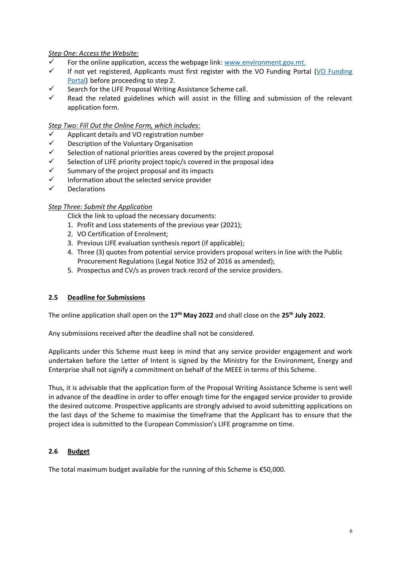### *Step One: Access the Website:*

- For the online application, access the webpage link: [www.environment.gov.mt.](http://www.environment.gov.mt/)
- $\checkmark$  If not yet registered, Applicants must first register with the VO Funding Portal (VO Funding [Portal\)](https://www.vofunding.org.mt/) before proceeding to step 2.
- $\checkmark$  Search for the LIFE Proposal Writing Assistance Scheme call.
- $\checkmark$  Read the related guidelines which will assist in the filling and submission of the relevant application form.

#### *Step Two: Fill Out the Online Form, which includes:*

- Applicant details and VO registration number
- ✓ Description of the Voluntary Organisation
- $\checkmark$  Selection of national priorities areas covered by the project proposal
- $\checkmark$  Selection of LIFE priority project topic/s covered in the proposal idea
- $\checkmark$  Summary of the project proposal and its impacts
- $\checkmark$  Information about the selected service provider
- **Declarations**

### *Step Three: Submit the Application*

Click the link to upload the necessary documents:

- 1. Profit and Loss statements of the previous year (2021);
- 2. VO Certification of Enrolment;
- 3. Previous LIFE evaluation synthesis report (if applicable);
- 4. Three (3) quotes from potential service providers proposal writers in line with the Public Procurement Regulations (Legal Notice 352 of 2016 as amended);
- 5. Prospectus and CV/s as proven track record of the service providers.

## **2.5 Deadline for Submissions**

The online application shall open on the **17 th May 2022** and shall close on the **25th July 2022**.

Any submissions received after the deadline shall not be considered.

Applicants under this Scheme must keep in mind that any service provider engagement and work undertaken before the Letter of Intent is signed by the Ministry for the Environment, Energy and Enterprise shall not signify a commitment on behalf of the MEEE in terms of this Scheme.

Thus, it is advisable that the application form of the Proposal Writing Assistance Scheme is sent well in advance of the deadline in order to offer enough time for the engaged service provider to provide the desired outcome. Prospective applicants are strongly advised to avoid submitting applications on the last days of the Scheme to maximise the timeframe that the Applicant has to ensure that the project idea is submitted to the European Commission's LIFE programme on time.

#### **2.6 Budget**

The total maximum budget available for the running of this Scheme is €50,000.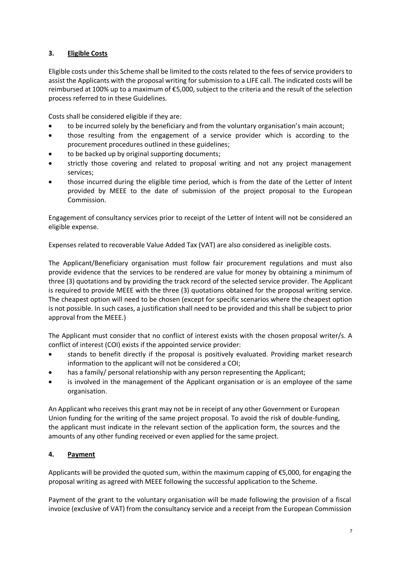## **3. Eligible Costs**

Eligible costs under this Scheme shall be limited to the costs related to the fees of service providers to assist the Applicants with the proposal writing for submission to a LIFE call. The indicated costs will be reimbursed at 100% up to a maximum of €5,000, subject to the criteria and the result of the selection process referred to in these Guidelines.

Costs shall be considered eligible if they are:

- to be incurred solely by the beneficiary and from the voluntary organisation's main account;
- those resulting from the engagement of a service provider which is according to the procurement procedures outlined in these guidelines;
- to be backed up by original supporting documents;
- strictly those covering and related to proposal writing and not any project management services;
- those incurred during the eligible time period, which is from the date of the Letter of Intent provided by MEEE to the date of submission of the project proposal to the European Commission.

Engagement of consultancy services prior to receipt of the Letter of Intent will not be considered an eligible expense.

Expenses related to recoverable Value Added Tax (VAT) are also considered as ineligible costs.

The Applicant/Beneficiary organisation must follow fair procurement regulations and must also provide evidence that the services to be rendered are value for money by obtaining a minimum of three (3) quotations and by providing the track record of the selected service provider. The Applicant is required to provide MEEE with the three (3) quotations obtained for the proposal writing service. The cheapest option will need to be chosen (except for specific scenarios where the cheapest option is not possible. In such cases, a justification shall need to be provided and this shall be subject to prior approval from the MEEE.)

The Applicant must consider that no conflict of interest exists with the chosen proposal writer/s. A conflict of interest (COI) exists if the appointed service provider:

- stands to benefit directly if the proposal is positively evaluated. Providing market research information to the applicant will not be considered a COI;
- has a family/ personal relationship with any person representing the Applicant;
- is involved in the management of the Applicant organisation or is an employee of the same organisation.

An Applicant who receives this grant may not be in receipt of any other Government or European Union funding for the writing of the same project proposal. To avoid the risk of double-funding, the applicant must indicate in the relevant section of the application form, the sources and the amounts of any other funding received or even applied for the same project.

## **4. Payment**

Applicants will be provided the quoted sum, within the maximum capping of €5,000, for engaging the proposal writing as agreed with MEEE following the successful application to the Scheme.

Payment of the grant to the voluntary organisation will be made following the provision of a fiscal invoice (exclusive of VAT) from the consultancy service and a receipt from the European Commission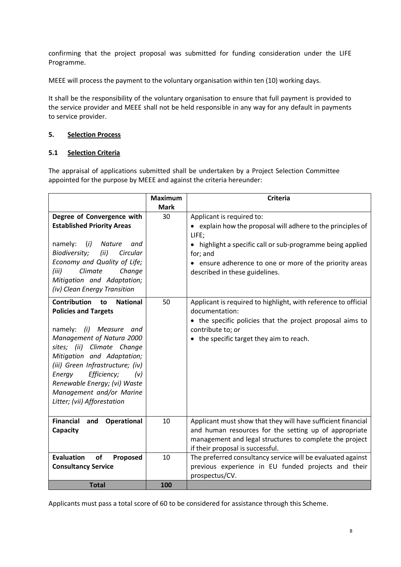confirming that the project proposal was submitted for funding consideration under the LIFE Programme.

MEEE will process the payment to the voluntary organisation within ten (10) working days.

It shall be the responsibility of the voluntary organisation to ensure that full payment is provided to the service provider and MEEE shall not be held responsible in any way for any default in payments to service provider.

### **5. Selection Process**

#### **5.1 Selection Criteria**

The appraisal of applications submitted shall be undertaken by a Project Selection Committee appointed for the purpose by MEEE and against the criteria hereunder:

|                                                                             | <b>Maximum</b> | <b>Criteria</b>                                                                  |
|-----------------------------------------------------------------------------|----------------|----------------------------------------------------------------------------------|
|                                                                             | <b>Mark</b>    |                                                                                  |
| Degree of Convergence with                                                  | 30             | Applicant is required to:                                                        |
| <b>Established Priority Areas</b>                                           |                | • explain how the proposal will adhere to the principles of                      |
| namely:<br>(i)<br>Nature<br>and                                             |                | LIFE;                                                                            |
| Biodiversity;<br>Circular<br>(ii)                                           |                | • highlight a specific call or sub-programme being applied<br>for; and           |
| Economy and Quality of Life;                                                |                | • ensure adherence to one or more of the priority areas                          |
| Climate<br>(iii)<br>Change                                                  |                | described in these guidelines.                                                   |
| Mitigation and Adaptation;<br>(iv) Clean Energy Transition                  |                |                                                                                  |
|                                                                             |                |                                                                                  |
| <b>Contribution</b><br><b>National</b><br>to<br><b>Policies and Targets</b> | 50             | Applicant is required to highlight, with reference to official<br>documentation: |
|                                                                             |                | • the specific policies that the project proposal aims to                        |
| Measure and<br>namely:<br>(i)                                               |                | contribute to; or                                                                |
| Management of Natura 2000                                                   |                | • the specific target they aim to reach.                                         |
| sites; (ii) Climate Change                                                  |                |                                                                                  |
| Mitigation and Adaptation;                                                  |                |                                                                                  |
| (iii) Green Infrastructure; (iv)                                            |                |                                                                                  |
| Efficiency;<br>Energy<br>(v)<br>Renewable Energy; (vi) Waste                |                |                                                                                  |
| Management and/or Marine                                                    |                |                                                                                  |
| Litter; (vii) Afforestation                                                 |                |                                                                                  |
|                                                                             |                |                                                                                  |
| <b>Financial</b><br>and<br><b>Operational</b>                               | 10             | Applicant must show that they will have sufficient financial                     |
| Capacity                                                                    |                | and human resources for the setting up of appropriate                            |
|                                                                             |                | management and legal structures to complete the project                          |
|                                                                             |                | if their proposal is successful.                                                 |
| <b>Evaluation</b><br>of<br>Proposed                                         | 10             | The preferred consultancy service will be evaluated against                      |
| <b>Consultancy Service</b>                                                  |                | previous experience in EU funded projects and their                              |
|                                                                             |                | prospectus/CV.                                                                   |
| <b>Total</b>                                                                | 100            |                                                                                  |

<span id="page-7-0"></span>Applicants must pass a total score of 60 to be considered for assistance through this Scheme.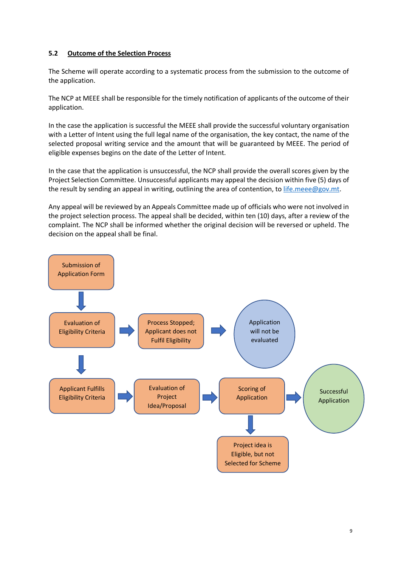### <span id="page-8-0"></span>**5.2 Outcome of the Selection Process**

The Scheme will operate according to a systematic process from the submission to the outcome of the application.

The NCP at MEEE shall be responsible for the timely notification of applicants of the outcome of their application.

In the case the application is successful the MEEE shall provide the successful voluntary organisation with a Letter of Intent using the full legal name of the organisation, the key contact, the name of the selected proposal writing service and the amount that will be guaranteed by MEEE. The period of eligible expenses begins on the date of the Letter of Intent.

In the case that the application is unsuccessful, the NCP shall provide the overall scores given by the Project Selection Committee. Unsuccessful applicants may appeal the decision within five (5) days of the result by sending an appeal in writing, outlining the area of contention, to [life.meee@gov.mt.](mailto:life.meee@gov.mt)

Any appeal will be reviewed by an Appeals Committee made up of officials who were not involved in the project selection process. The appeal shall be decided, within ten (10) days, after a review of the complaint. The NCP shall be informed whether the original decision will be reversed or upheld. The decision on the appeal shall be final.

<span id="page-8-1"></span>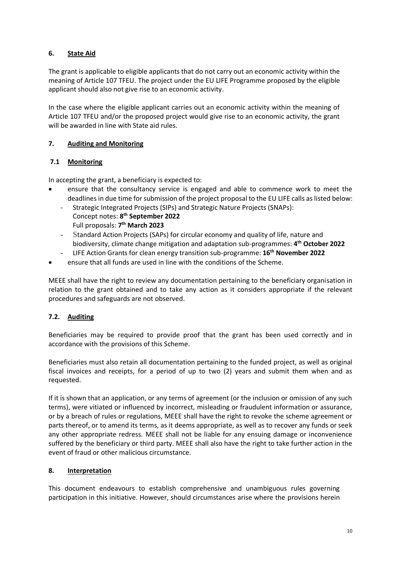## **6. State Aid**

The grant is applicable to eligible applicants that do not carry out an economic activity within the meaning of Article 107 TFEU. The project under the EU LIFE Programme proposed by the eligible applicant should also not give rise to an economic activity.

In the case where the eligible applicant carries out an economic activity within the meaning of Article 107 TFEU and/or the proposed project would give rise to an economic activity, the grant will be awarded in line with State aid rules.

## **7. Auditing and Monitoring**

## <span id="page-9-0"></span>**7.1 Monitoring**

In accepting the grant, a beneficiary is expected to:

- ensure that the consultancy service is engaged and able to commence work to meet the deadlines in due time for submission of the project proposal to the EU LIFE calls as listed below:
	- Strategic Integrated Projects (SIPs) and Strategic Nature Projects (SNAPs): Concept notes: **8 th September 2022** Full proposals: **7 th March 2023**
	- Standard Action Projects (SAPs) for circular economy and quality of life, nature and biodiversity, climate change mitigation and adaptation sub-programmes: **4 th October 2022**
	- LIFE Action Grants for clean energy transition sub-programme: **16th November 2022**
- ensure that all funds are used in line with the conditions of the Scheme.

MEEE shall have the right to review any documentation pertaining to the beneficiary organisation in relation to the grant obtained and to take any action as it considers appropriate if the relevant procedures and safeguards are not observed.

## <span id="page-9-1"></span>**7.2. Auditing**

Beneficiaries may be required to provide proof that the grant has been used correctly and in accordance with the provisions of this Scheme.

Beneficiaries must also retain all documentation pertaining to the funded project, as well as original fiscal invoices and receipts, for a period of up to two (2) years and submit them when and as requested.

If it is shown that an application, or any terms of agreement (or the inclusion or omission of any such terms), were vitiated or influenced by incorrect, misleading or fraudulent information or assurance, or by a breach of rules or regulations, MEEE shall have the right to revoke the scheme agreement or parts thereof, or to amend its terms, as it deems appropriate, as well as to recover any funds or seek any other appropriate redress. MEEE shall not be liable for any ensuing damage or inconvenience suffered by the beneficiary or third party. MEEE shall also have the right to take further action in the event of fraud or other malicious circumstance.

## <span id="page-9-2"></span>**8. Interpretation**

This document endeavours to establish comprehensive and unambiguous rules governing participation in this initiative. However, should circumstances arise where the provisions herein